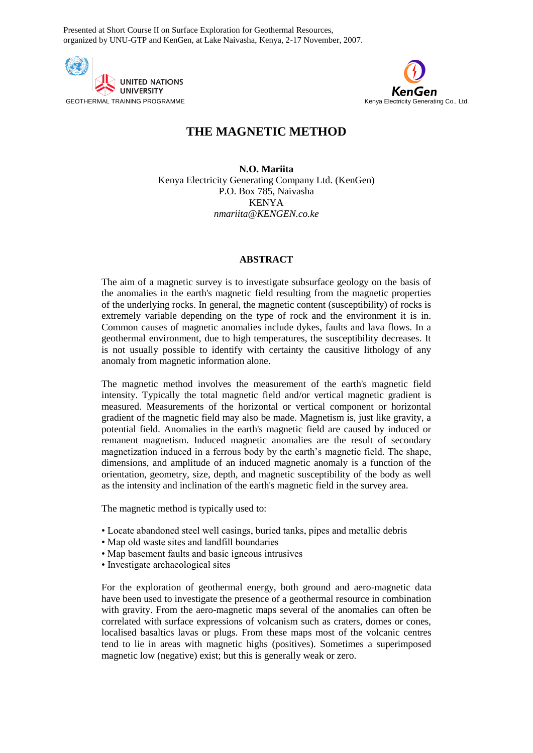Presented at Short Course II on Surface Exploration for Geothermal Resources, organized by UNU-GTP and KenGen, at Lake Naivasha, Kenya, 2-17 November, 2007.





# **THE MAGNETIC METHOD**

**N.O. Mariita** Kenya Electricity Generating Company Ltd. (KenGen) P.O. Box 785, Naivasha KENYA *nmariita@KENGEN.co.ke*

### **ABSTRACT**

The aim of a magnetic survey is to investigate subsurface geology on the basis of the anomalies in the earth's magnetic field resulting from the magnetic properties of the underlying rocks. In general, the magnetic content (susceptibility) of rocks is extremely variable depending on the type of rock and the environment it is in. Common causes of magnetic anomalies include dykes, faults and lava flows. In a geothermal environment, due to high temperatures, the susceptibility decreases. It is not usually possible to identify with certainty the causitive lithology of any anomaly from magnetic information alone.

The magnetic method involves the measurement of the earth's magnetic field intensity. Typically the total magnetic field and/or vertical magnetic gradient is measured. Measurements of the horizontal or vertical component or horizontal gradient of the magnetic field may also be made. Magnetism is, just like gravity, a potential field. Anomalies in the earth's magnetic field are caused by induced or remanent magnetism. Induced magnetic anomalies are the result of secondary magnetization induced in a ferrous body by the earth's magnetic field. The shape, dimensions, and amplitude of an induced magnetic anomaly is a function of the orientation, geometry, size, depth, and magnetic susceptibility of the body as well as the intensity and inclination of the earth's magnetic field in the survey area.

The magnetic method is typically used to:

- Locate abandoned steel well casings, buried tanks, pipes and metallic debris
- Map old waste sites and landfill boundaries
- Map basement faults and basic igneous intrusives
- Investigate archaeological sites

For the exploration of geothermal energy, both ground and aero-magnetic data have been used to investigate the presence of a geothermal resource in combination with gravity. From the aero-magnetic maps several of the anomalies can often be correlated with surface expressions of volcanism such as craters, domes or cones, localised basaltics lavas or plugs. From these maps most of the volcanic centres tend to lie in areas with magnetic highs (positives). Sometimes a superimposed magnetic low (negative) exist; but this is generally weak or zero.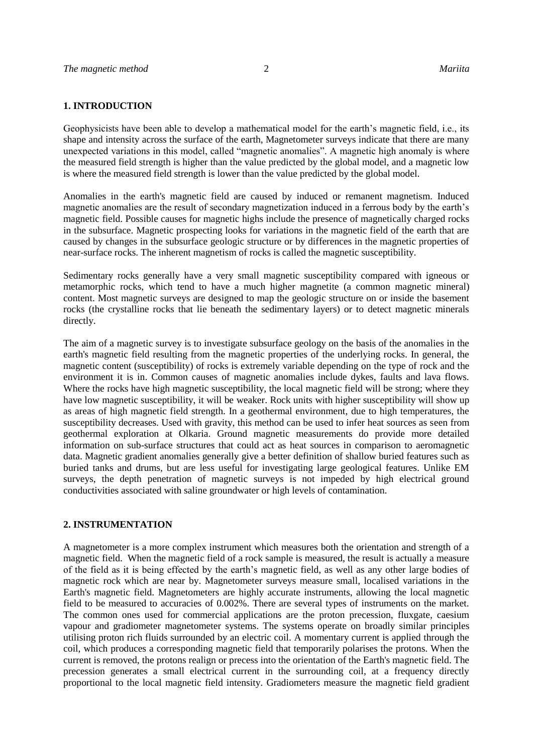### **1. INTRODUCTION**

Geophysicists have been able to develop a mathematical model for the earth's magnetic field, i.e., its shape and intensity across the surface of the earth, Magnetometer surveys indicate that there are many unexpected variations in this model, called "magnetic anomalies". A magnetic high anomaly is where the measured field strength is higher than the value predicted by the global model, and a magnetic low is where the measured field strength is lower than the value predicted by the global model.

Anomalies in the earth's magnetic field are caused by induced or remanent magnetism. Induced magnetic anomalies are the result of secondary magnetization induced in a ferrous body by the earth's magnetic field. Possible causes for magnetic highs include the presence of magnetically charged rocks in the subsurface. Magnetic prospecting looks for variations in the magnetic field of the earth that are caused by changes in the subsurface geologic structure or by differences in the magnetic properties of near-surface rocks. The inherent magnetism of rocks is called the magnetic susceptibility.

Sedimentary rocks generally have a very small magnetic susceptibility compared with igneous or metamorphic rocks, which tend to have a much higher magnetite (a common magnetic mineral) content. Most magnetic surveys are designed to map the geologic structure on or inside the basement rocks (the crystalline rocks that lie beneath the sedimentary layers) or to detect magnetic minerals directly.

The aim of a magnetic survey is to investigate subsurface geology on the basis of the anomalies in the earth's magnetic field resulting from the magnetic properties of the underlying rocks. In general, the magnetic content (susceptibility) of rocks is extremely variable depending on the type of rock and the environment it is in. Common causes of magnetic anomalies include dykes, faults and lava flows. Where the rocks have high magnetic susceptibility, the local magnetic field will be strong; where they have low magnetic susceptibility, it will be weaker. Rock units with higher susceptibility will show up as areas of high magnetic field strength. In a geothermal environment, due to high temperatures, the susceptibility decreases. Used with gravity, this method can be used to infer heat sources as seen from geothermal exploration at Olkaria. Ground magnetic measurements do provide more detailed information on sub-surface structures that could act as heat sources in comparison to aeromagnetic data. Magnetic gradient anomalies generally give a better definition of shallow buried features such as buried tanks and drums, but are less useful for investigating large geological features. Unlike EM surveys, the depth penetration of magnetic surveys is not impeded by high electrical ground conductivities associated with saline groundwater or high levels of contamination.

### **2. INSTRUMENTATION**

A magnetometer is a more complex instrument which measures both the orientation and strength of a magnetic field. When the magnetic field of a rock sample is measured, the result is actually a measure of the field as it is being effected by the earth's magnetic field, as well as any other large bodies of magnetic rock which are near by. Magnetometer surveys measure small, localised variations in the Earth's magnetic field. Magnetometers are highly accurate instruments, allowing the local magnetic field to be measured to accuracies of 0.002%. There are several types of instruments on the market. The common ones used for commercial applications are the proton precession, fluxgate, caesium vapour and gradiometer magnetometer systems. The systems operate on broadly similar principles utilising proton rich fluids surrounded by an electric coil. A momentary current is applied through the coil, which produces a corresponding magnetic field that temporarily polarises the protons. When the current is removed, the protons realign or precess into the orientation of the Earth's magnetic field. The precession generates a small electrical current in the surrounding coil, at a frequency directly proportional to the local magnetic field intensity. Gradiometers measure the magnetic field gradient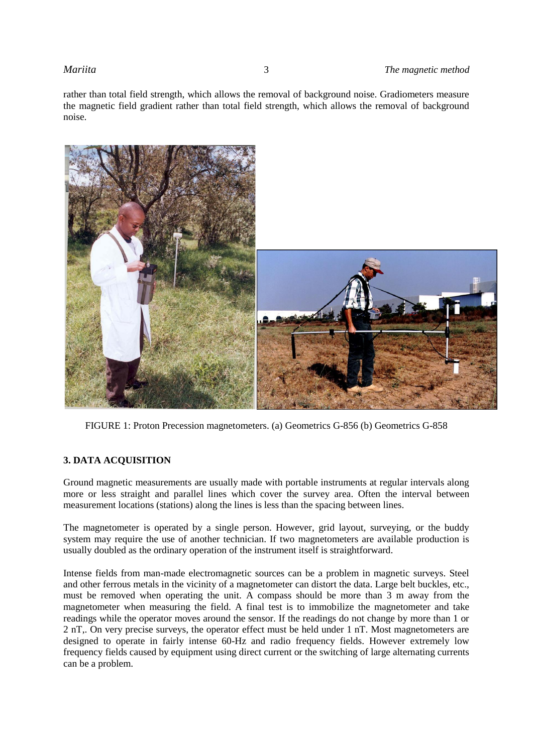rather than total field strength, which allows the removal of background noise. Gradiometers measure the magnetic field gradient rather than total field strength, which allows the removal of background noise.



FIGURE 1: Proton Precession magnetometers. (a) Geometrics G-856 (b) Geometrics G-858

# **3. DATA ACQUISITION**

Ground magnetic measurements are usually made with portable instruments at regular intervals along more or less straight and parallel lines which cover the survey area. Often the interval between measurement locations (stations) along the lines is less than the spacing between lines.

The magnetometer is operated by a single person. However, grid layout, surveying, or the buddy system may require the use of another technician. If two magnetometers are available production is usually doubled as the ordinary operation of the instrument itself is straightforward.

Intense fields from man-made electromagnetic sources can be a problem in magnetic surveys. Steel and other ferrous metals in the vicinity of a magnetometer can distort the data. Large belt buckles, etc., must be removed when operating the unit. A compass should be more than 3 m away from the magnetometer when measuring the field. A final test is to immobilize the magnetometer and take readings while the operator moves around the sensor. If the readings do not change by more than 1 or 2 nT,. On very precise surveys, the operator effect must be held under 1 nT. Most magnetometers are designed to operate in fairly intense 60-Hz and radio frequency fields. However extremely low frequency fields caused by equipment using direct current or the switching of large alternating currents can be a problem.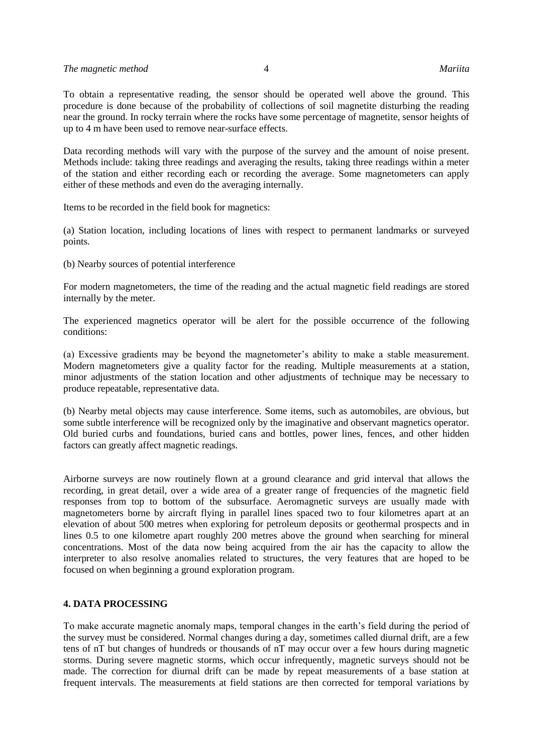To obtain a representative reading, the sensor should be operated well above the ground. This procedure is done because of the probability of collections of soil magnetite disturbing the reading near the ground. In rocky terrain where the rocks have some percentage of magnetite, sensor heights of up to 4 m have been used to remove near-surface effects.

Data recording methods will vary with the purpose of the survey and the amount of noise present. Methods include: taking three readings and averaging the results, taking three readings within a meter of the station and either recording each or recording the average. Some magnetometers can apply either of these methods and even do the averaging internally.

Items to be recorded in the field book for magnetics:

(a) Station location, including locations of lines with respect to permanent landmarks or surveyed points.

(b) Nearby sources of potential interference

For modern magnetometers, the time of the reading and the actual magnetic field readings are stored internally by the meter.

The experienced magnetics operator will be alert for the possible occurrence of the following conditions:

(a) Excessive gradients may be beyond the magnetometer's ability to make a stable measurement. Modern magnetometers give a quality factor for the reading. Multiple measurements at a station, minor adjustments of the station location and other adjustments of technique may be necessary to produce repeatable, representative data.

(b) Nearby metal objects may cause interference. Some items, such as automobiles, are obvious, but some subtle interference will be recognized only by the imaginative and observant magnetics operator. Old buried curbs and foundations, buried cans and bottles, power lines, fences, and other hidden factors can greatly affect magnetic readings.

Airborne surveys are now routinely flown at a ground clearance and grid interval that allows the recording, in great detail, over a wide area of a greater range of frequencies of the magnetic field responses from top to bottom of the subsurface. Aeromagnetic surveys are usually made with magnetometers borne by aircraft flying in parallel lines spaced two to four kilometres apart at an elevation of about 500 metres when exploring for petroleum deposits or geothermal prospects and in lines 0.5 to one kilometre apart roughly 200 metres above the ground when searching for mineral concentrations. Most of the data now being acquired from the air has the capacity to allow the interpreter to also resolve anomalies related to structures, the very features that are hoped to be focused on when beginning a ground exploration program.

## **4. DATA PROCESSING**

To make accurate magnetic anomaly maps, temporal changes in the earth's field during the period of the survey must be considered. Normal changes during a day, sometimes called diurnal drift, are a few tens of nT but changes of hundreds or thousands of nT may occur over a few hours during magnetic storms. During severe magnetic storms, which occur infrequently, magnetic surveys should not be made. The correction for diurnal drift can be made by repeat measurements of a base station at frequent intervals. The measurements at field stations are then corrected for temporal variations by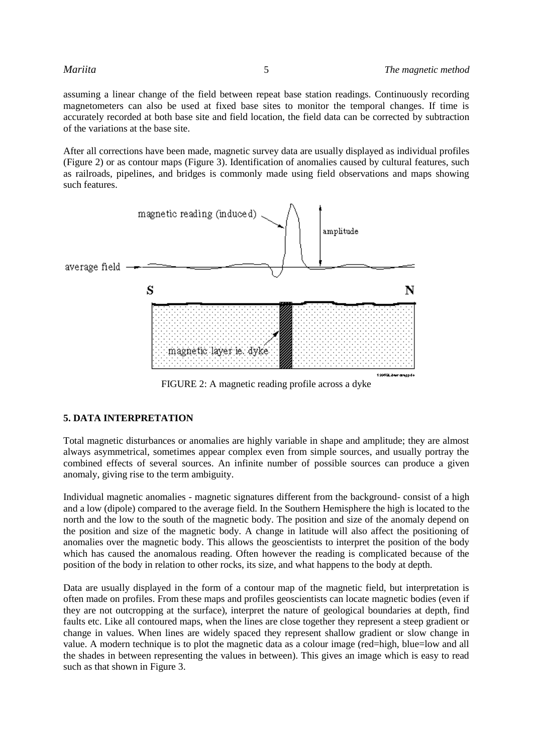assuming a linear change of the field between repeat base station readings. Continuously recording magnetometers can also be used at fixed base sites to monitor the temporal changes. If time is accurately recorded at both base site and field location, the field data can be corrected by subtraction of the variations at the base site.

After all corrections have been made, magnetic survey data are usually displayed as individual profiles (Figure 2) or as contour maps (Figure 3). Identification of anomalies caused by cultural features, such as railroads, pipelines, and bridges is commonly made using field observations and maps showing such features.



FIGURE 2: A magnetic reading profile across a dyke

## **5. DATA INTERPRETATION**

Total magnetic disturbances or anomalies are highly variable in shape and amplitude; they are almost always asymmetrical, sometimes appear complex even from simple sources, and usually portray the combined effects of several sources. An infinite number of possible sources can produce a given anomaly, giving rise to the term ambiguity.

Individual magnetic anomalies - magnetic signatures different from the background- consist of a high and a low (dipole) compared to the average field. In the Southern Hemisphere the high is located to the north and the low to the south of the magnetic body. The position and size of the anomaly depend on the position and size of the magnetic body. A change in latitude will also affect the positioning of anomalies over the magnetic body. This allows the geoscientists to interpret the position of the body which has caused the anomalous reading. Often however the reading is complicated because of the position of the body in relation to other rocks, its size, and what happens to the body at depth.

Data are usually displayed in the form of a contour map of the magnetic field, but interpretation is often made on profiles. From these maps and profiles geoscientists can locate magnetic bodies (even if they are not outcropping at the surface), interpret the nature of geological boundaries at depth, find faults etc. Like all contoured maps, when the lines are close together they represent a steep gradient or change in values. When lines are widely spaced they represent shallow gradient or slow change in value. A modern technique is to plot the magnetic data as a colour image (red=high, blue=low and all the shades in between representing the values in between). This gives an image which is easy to read such as that shown in Figure 3.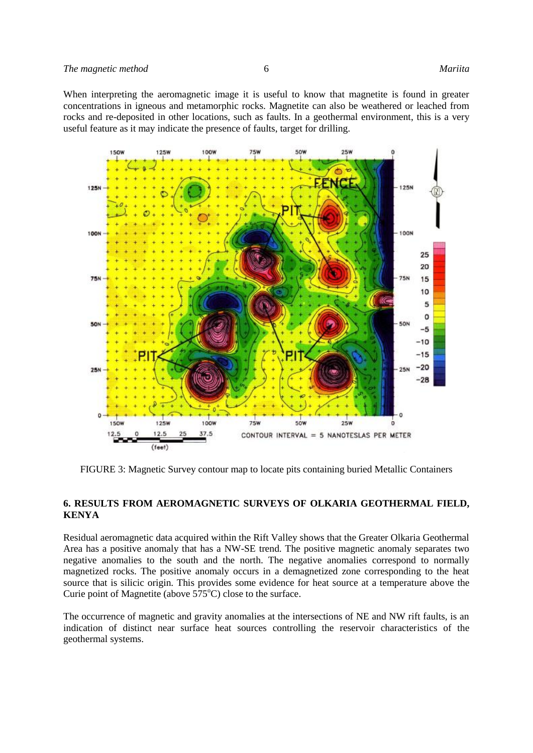When interpreting the aeromagnetic image it is useful to know that magnetite is found in greater concentrations in igneous and metamorphic rocks. Magnetite can also be weathered or leached from rocks and re-deposited in other locations, such as faults. In a geothermal environment, this is a very useful feature as it may indicate the presence of faults, target for drilling.



FIGURE 3: Magnetic Survey contour map to locate pits containing buried Metallic Containers

### **6. RESULTS FROM AEROMAGNETIC SURVEYS OF OLKARIA GEOTHERMAL FIELD, KENYA**

Residual aeromagnetic data acquired within the Rift Valley shows that the Greater Olkaria Geothermal Area has a positive anomaly that has a NW-SE trend. The positive magnetic anomaly separates two negative anomalies to the south and the north. The negative anomalies correspond to normally magnetized rocks. The positive anomaly occurs in a demagnetized zone corresponding to the heat source that is silicic origin. This provides some evidence for heat source at a temperature above the Curie point of Magnetite (above  $575^{\circ}$ C) close to the surface.

The occurrence of magnetic and gravity anomalies at the intersections of NE and NW rift faults, is an indication of distinct near surface heat sources controlling the reservoir characteristics of the geothermal systems.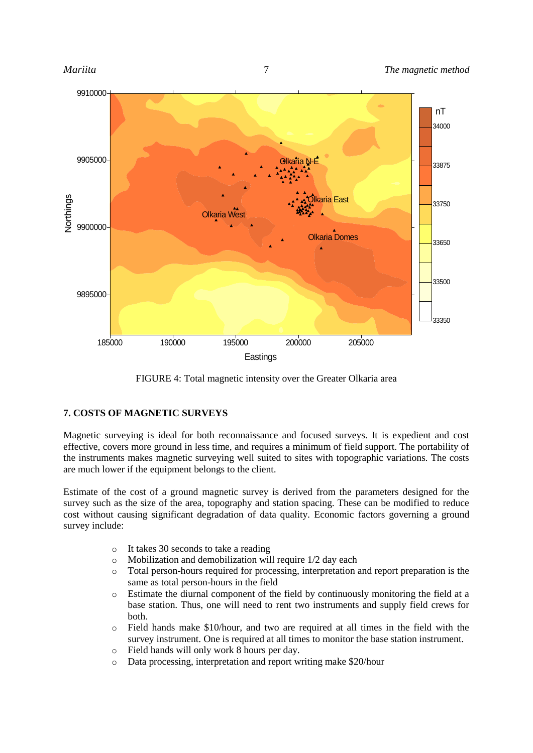

FIGURE 4: Total magnetic intensity over the Greater Olkaria area

# **7. COSTS OF MAGNETIC SURVEYS**

Magnetic surveying is ideal for both reconnaissance and focused surveys. It is expedient and cost effective, covers more ground in less time, and requires a minimum of field support. The portability of the instruments makes magnetic surveying well suited to sites with topographic variations. The costs are much lower if the equipment belongs to the client.

Estimate of the cost of a ground magnetic survey is derived from the parameters designed for the survey such as the size of the area, topography and station spacing. These can be modified to reduce cost without causing significant degradation of data quality. Economic factors governing a ground survey include:

- o It takes 30 seconds to take a reading
- o Mobilization and demobilization will require 1/2 day each
- o Total person-hours required for processing, interpretation and report preparation is the same as total person-hours in the field
- o Estimate the diurnal component of the field by continuously monitoring the field at a base station. Thus, one will need to rent two instruments and supply field crews for both.
- o Field hands make \$10/hour, and two are required at all times in the field with the survey instrument. One is required at all times to monitor the base station instrument.
- o Field hands will only work 8 hours per day.
- o Data processing, interpretation and report writing make \$20/hour